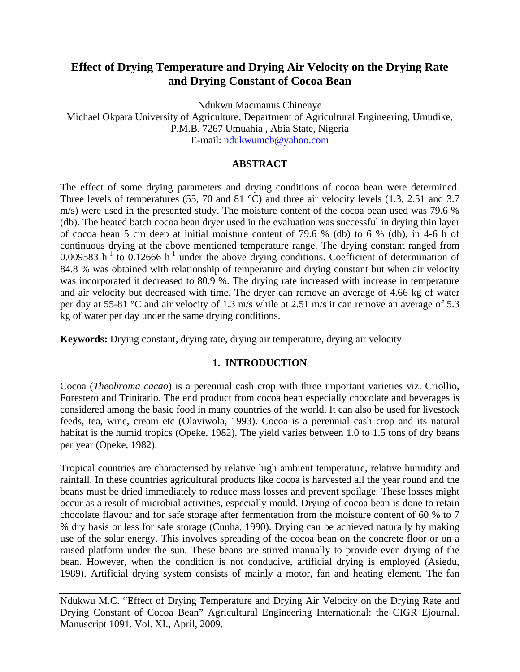# **Effect of Drying Temperature and Drying Air Velocity on the Drying Rate and Drying Constant of Cocoa Bean**

Ndukwu Macmanus Chinenye

Michael Okpara University of Agriculture, Department of Agricultural Engineering, Umudike, P.M.B. 7267 Umuahia , Abia State, Nigeria E-mail: [ndukwumcb@yahoo.com](mailto:ndukwumcb@yahoo.com)

## **ABSTRACT**

The effect of some drying parameters and drying conditions of cocoa bean were determined. Three levels of temperatures (55, 70 and 81 °C) and three air velocity levels (1.3, 2.51 and 3.7 m/s) were used in the presented study. The moisture content of the cocoa bean used was 79.6 % (db). The heated batch cocoa bean dryer used in the evaluation was successful in drying thin layer of cocoa bean 5 cm deep at initial moisture content of 79.6 % (db) to 6 % (db), in 4-6 h of continuous drying at the above mentioned temperature range. The drying constant ranged from 0.009583 h<sup>-1</sup> to 0.12666 h<sup>-1</sup> under the above drying conditions. Coefficient of determination of 84.8 % was obtained with relationship of temperature and drying constant but when air velocity was incorporated it decreased to 80.9 %. The drying rate increased with increase in temperature and air velocity but decreased with time. The dryer can remove an average of 4.66 kg of water per day at 55-81 °C and air velocity of 1.3 m/s while at 2.51 m/s it can remove an average of 5.3 kg of water per day under the same drying conditions.

**Keywords:** Drying constant, drying rate, drying air temperature, drying air velocity

# **1. INTRODUCTION**

Cocoa (*Theobroma cacao*) is a perennial cash crop with three important varieties viz. Criollio, Forestero and Trinitario. The end product from cocoa bean especially chocolate and beverages is considered among the basic food in many countries of the world. It can also be used for livestock feeds, tea, wine, cream etc (Olayiwola, 1993). Cocoa is a perennial cash crop and its natural habitat is the humid tropics (Opeke, 1982). The yield varies between 1.0 to 1.5 tons of dry beans per year (Opeke, 1982).

Tropical countries are characterised by relative high ambient temperature, relative humidity and rainfall. In these countries agricultural products like cocoa is harvested all the year round and the beans must be dried immediately to reduce mass losses and prevent spoilage. These losses might occur as a result of microbial activities, especially mould. Drying of cocoa bean is done to retain chocolate flavour and for safe storage after fermentation from the moisture content of 60 % to 7 % dry basis or less for safe storage (Cunha, 1990). Drying can be achieved naturally by making use of the solar energy. This involves spreading of the cocoa bean on the concrete floor or on a raised platform under the sun. These beans are stirred manually to provide even drying of the bean. However, when the condition is not conducive, artificial drying is employed (Asiedu, 1989). Artificial drying system consists of mainly a motor, fan and heating element. The fan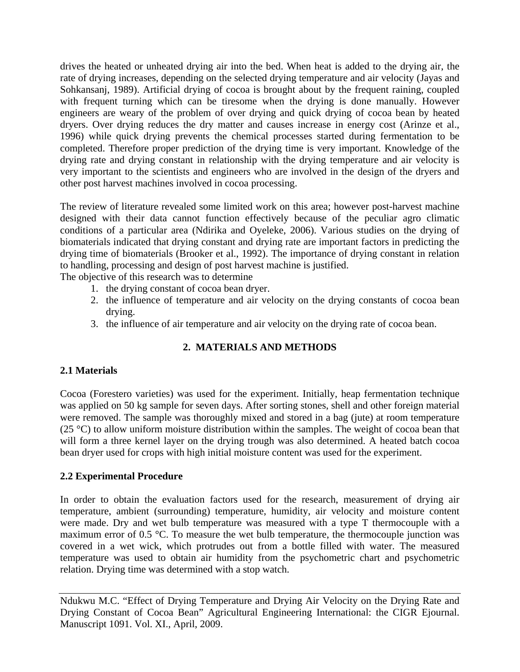drives the heated or unheated drying air into the bed. When heat is added to the drying air, the rate of drying increases, depending on the selected drying temperature and air velocity (Jayas and Sohkansanj, 1989). Artificial drying of cocoa is brought about by the frequent raining, coupled with frequent turning which can be tiresome when the drying is done manually. However engineers are weary of the problem of over drying and quick drying of cocoa bean by heated dryers. Over drying reduces the dry matter and causes increase in energy cost (Arinze et al., 1996) while quick drying prevents the chemical processes started during fermentation to be completed. Therefore proper prediction of the drying time is very important. Knowledge of the drying rate and drying constant in relationship with the drying temperature and air velocity is very important to the scientists and engineers who are involved in the design of the dryers and other post harvest machines involved in cocoa processing.

The review of literature revealed some limited work on this area; however post-harvest machine designed with their data cannot function effectively because of the peculiar agro climatic conditions of a particular area (Ndirika and Oyeleke, 2006). Various studies on the drying of biomaterials indicated that drying constant and drying rate are important factors in predicting the drying time of biomaterials (Brooker et al., 1992). The importance of drying constant in relation to handling, processing and design of post harvest machine is justified. The objective of this research was to determine

- 1. the drying constant of cocoa bean dryer.
- 2. the influence of temperature and air velocity on the drying constants of cocoa bean drying.
- 3. the influence of air temperature and air velocity on the drying rate of cocoa bean.

# **2. MATERIALS AND METHODS**

## **2.1 Materials**

Cocoa (Forestero varieties) was used for the experiment. Initially, heap fermentation technique was applied on 50 kg sample for seven days. After sorting stones, shell and other foreign material were removed. The sample was thoroughly mixed and stored in a bag (jute) at room temperature (25  $^{\circ}$ C) to allow uniform moisture distribution within the samples. The weight of cocoa bean that will form a three kernel layer on the drying trough was also determined. A heated batch cocoa bean dryer used for crops with high initial moisture content was used for the experiment.

# **2.2 Experimental Procedure**

In order to obtain the evaluation factors used for the research, measurement of drying air temperature, ambient (surrounding) temperature, humidity, air velocity and moisture content were made. Dry and wet bulb temperature was measured with a type T thermocouple with a maximum error of 0.5 °C. To measure the wet bulb temperature, the thermocouple junction was covered in a wet wick, which protrudes out from a bottle filled with water. The measured temperature was used to obtain air humidity from the psychometric chart and psychometric relation. Drying time was determined with a stop watch.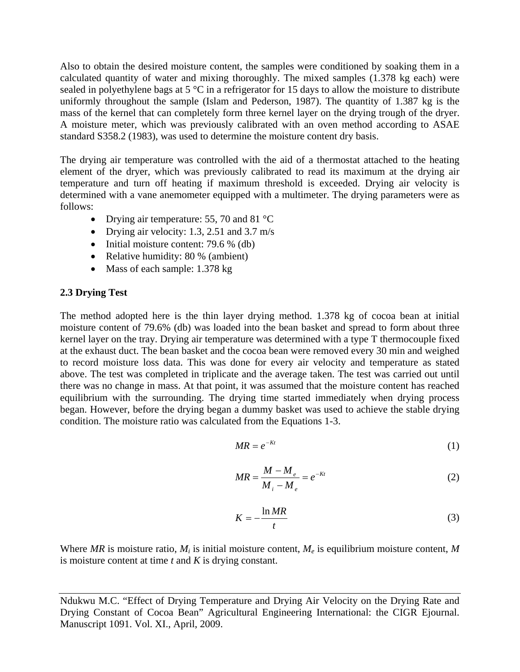Also to obtain the desired moisture content, the samples were conditioned by soaking them in a calculated quantity of water and mixing thoroughly. The mixed samples (1.378 kg each) were sealed in polyethylene bags at  $5^{\circ}$ C in a refrigerator for 15 days to allow the moisture to distribute uniformly throughout the sample (Islam and Pederson, 1987). The quantity of 1.387 kg is the mass of the kernel that can completely form three kernel layer on the drying trough of the dryer. A moisture meter, which was previously calibrated with an oven method according to ASAE standard S358.2 (1983), was used to determine the moisture content dry basis.

The drying air temperature was controlled with the aid of a thermostat attached to the heating element of the dryer, which was previously calibrated to read its maximum at the drying air temperature and turn off heating if maximum threshold is exceeded. Drying air velocity is determined with a vane anemometer equipped with a multimeter. The drying parameters were as follows:

- Drying air temperature: 55, 70 and 81 °C
- Drying air velocity: 1.3, 2.51 and 3.7 m/s
- Initial moisture content: 79.6 % (db)
- Relative humidity: 80 % (ambient)
- Mass of each sample: 1.378 kg

# **2.3 Drying Test**

The method adopted here is the thin layer drying method. 1.378 kg of cocoa bean at initial moisture content of 79.6% (db) was loaded into the bean basket and spread to form about three kernel layer on the tray. Drying air temperature was determined with a type T thermocouple fixed at the exhaust duct. The bean basket and the cocoa bean were removed every 30 min and weighed to record moisture loss data. This was done for every air velocity and temperature as stated above. The test was completed in triplicate and the average taken. The test was carried out until there was no change in mass. At that point, it was assumed that the moisture content has reached equilibrium with the surrounding. The drying time started immediately when drying process began. However, before the drying began a dummy basket was used to achieve the stable drying condition. The moisture ratio was calculated from the Equations 1-3.

$$
MR = e^{-Kt} \tag{1}
$$

$$
MR = \frac{M - M_e}{M_i - M_e} = e^{-Kt}
$$
 (2)

$$
K = -\frac{\ln MR}{t} \tag{3}
$$

Where MR is moisture ratio,  $M_i$  is initial moisture content,  $M_e$  is equilibrium moisture content, M is moisture content at time *t* and *K* is drying constant.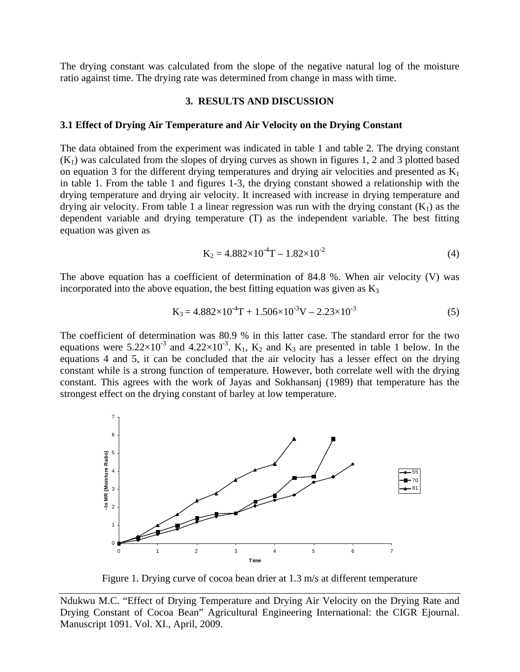The drying constant was calculated from the slope of the negative natural log of the moisture ratio against time. The drying rate was determined from change in mass with time.

#### **3. RESULTS AND DISCUSSION**

#### **3.1 Effect of Drying Air Temperature and Air Velocity on the Drying Constant**

The data obtained from the experiment was indicated in table 1 and table 2. The drying constant  $(K<sub>1</sub>)$  was calculated from the slopes of drying curves as shown in figures 1, 2 and 3 plotted based on equation 3 for the different drying temperatures and drying air velocities and presented as  $K_1$ in table 1. From the table 1 and figures 1-3, the drying constant showed a relationship with the drying temperature and drying air velocity. It increased with increase in drying temperature and drying air velocity. From table 1 a linear regression was run with the drying constant  $(K_1)$  as the dependent variable and drying temperature (T) as the independent variable. The best fitting equation was given as

$$
K_2 = 4.882 \times 10^{-4} T - 1.82 \times 10^{-2}
$$
 (4)

The above equation has a coefficient of determination of 84.8 %. When air velocity (V) was incorporated into the above equation, the best fitting equation was given as  $K_3$ 

$$
K_3 = 4.882 \times 10^{-4} T + 1.506 \times 10^{-3} V - 2.23 \times 10^{-3}
$$
 (5)

The coefficient of determination was 80.9 % in this latter case. The standard error for the two equations were  $5.22 \times 10^{-3}$  and  $4.22 \times 10^{-3}$ . K<sub>1</sub>, K<sub>2</sub> and K<sub>3</sub> are presented in table 1 below. In the equations 4 and 5, it can be concluded that the air velocity has a lesser effect on the drying constant while is a strong function of temperature. However, both correlate well with the drying constant. This agrees with the work of Jayas and Sokhansanj (1989) that temperature has the strongest effect on the drying constant of barley at low temperature.



Figure 1. Drying curve of cocoa bean drier at 1.3 m/s at different temperature

Ndukwu M.C. "Effect of Drying Temperature and Drying Air Velocity on the Drying Rate and Drying Constant of Cocoa Bean" Agricultural Engineering International: the CIGR Ejournal. Manuscript 1091. Vol. XI., April, 2009.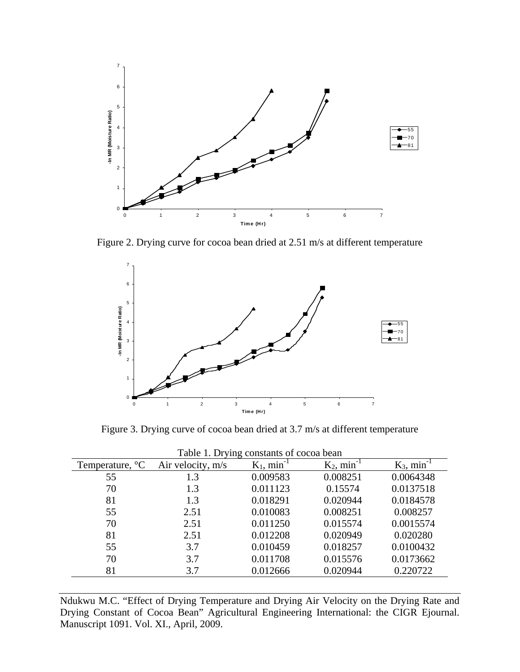

Figure 2. Drying curve for cocoa bean dried at 2.51 m/s at different temperature



Figure 3. Drying curve of cocoa bean dried at 3.7 m/s at different temperature

| Table 1. Drying constants of cocoa bean |                   |                           |                           |                           |  |  |  |  |  |  |  |
|-----------------------------------------|-------------------|---------------------------|---------------------------|---------------------------|--|--|--|--|--|--|--|
| Temperature, $\mathrm{C}$               | Air velocity, m/s | $K_1$ , min <sup>-1</sup> | $K_2$ , min <sup>-1</sup> | $K_3$ , min <sup>-1</sup> |  |  |  |  |  |  |  |
| 55                                      | 1.3               | 0.009583                  | 0.008251                  | 0.0064348                 |  |  |  |  |  |  |  |
| 70                                      | 1.3               | 0.011123                  | 0.15574                   | 0.0137518                 |  |  |  |  |  |  |  |
| 81                                      | 1.3               | 0.018291                  | 0.020944                  | 0.0184578                 |  |  |  |  |  |  |  |
| 55                                      | 2.51              | 0.010083                  | 0.008251                  | 0.008257                  |  |  |  |  |  |  |  |
| 70                                      | 2.51              | 0.011250                  | 0.015574                  | 0.0015574                 |  |  |  |  |  |  |  |
| 81                                      | 2.51              | 0.012208                  | 0.020949                  | 0.020280                  |  |  |  |  |  |  |  |
| 55                                      | 3.7               | 0.010459                  | 0.018257                  | 0.0100432                 |  |  |  |  |  |  |  |
| 70                                      | 3.7               | 0.011708                  | 0.015576                  | 0.0173662                 |  |  |  |  |  |  |  |
| 81                                      | 3.7               | 0.012666                  | 0.020944                  | 0.220722                  |  |  |  |  |  |  |  |

Ndukwu M.C. "Effect of Drying Temperature and Drying Air Velocity on the Drying Rate and Drying Constant of Cocoa Bean" Agricultural Engineering International: the CIGR Ejournal. Manuscript 1091. Vol. XI., April, 2009.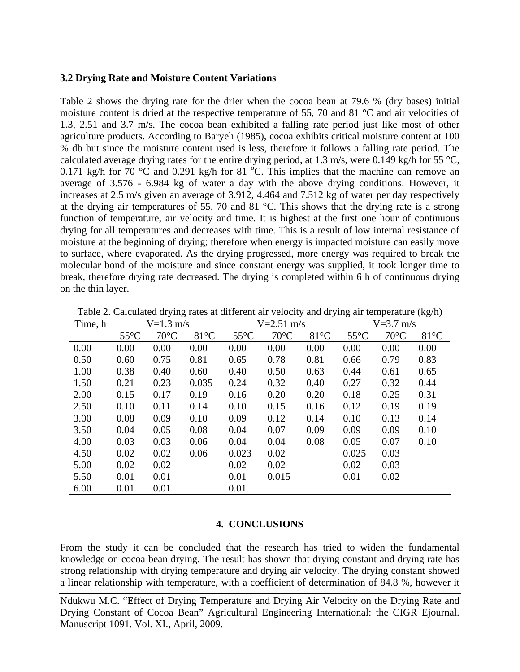### **3.2 Drying Rate and Moisture Content Variations**

Table 2 shows the drying rate for the drier when the cocoa bean at 79.6 % (dry bases) initial moisture content is dried at the respective temperature of 55, 70 and 81 °C and air velocities of 1.3, 2.51 and 3.7 m/s. The cocoa bean exhibited a falling rate period just like most of other agriculture products. According to Baryeh (1985), cocoa exhibits critical moisture content at 100 % db but since the moisture content used is less, therefore it follows a falling rate period. The calculated average drying rates for the entire drying period, at 1.3 m/s, were 0.149 kg/h for 55  $\degree$ C, 0.171 kg/h for  $\frac{70}{\text{°C}}$  and 0.291 kg/h for 81  $\text{°C}$ . This implies that the machine can remove an average of 3.576 - 6.984 kg of water a day with the above drying conditions. However, it increases at 2.5 m/s given an average of 3.912, 4.464 and 7.512 kg of water per day respectively at the drying air temperatures of 55, 70 and 81 °C. This shows that the drying rate is a strong function of temperature, air velocity and time. It is highest at the first one hour of continuous drying for all temperatures and decreases with time. This is a result of low internal resistance of moisture at the beginning of drying; therefore when energy is impacted moisture can easily move to surface, where evaporated. As the drying progressed, more energy was required to break the molecular bond of the moisture and since constant energy was supplied, it took longer time to break, therefore drying rate decreased. The drying is completed within 6 h of continuous drying on the thin layer.

| Time, h | $V=1.3$ m/s    |                | $V = 2.51$ m/s |                | $V = 3.7$ m/s  |                |                |                |                |
|---------|----------------|----------------|----------------|----------------|----------------|----------------|----------------|----------------|----------------|
|         | $55^{\circ}$ C | $70^{\circ}$ C | $81^{\circ}$ C | $55^{\circ}$ C | $70^{\circ}$ C | $81^{\circ}$ C | $55^{\circ}$ C | $70^{\circ}$ C | $81^{\circ}$ C |
| 0.00    | 0.00           | 0.00           | 0.00           | 0.00           | 0.00           | 0.00           | 0.00           | 0.00           | 0.00           |
| 0.50    | 0.60           | 0.75           | 0.81           | 0.65           | 0.78           | 0.81           | 0.66           | 0.79           | 0.83           |
| 1.00    | 0.38           | 0.40           | 0.60           | 0.40           | 0.50           | 0.63           | 0.44           | 0.61           | 0.65           |
| 1.50    | 0.21           | 0.23           | 0.035          | 0.24           | 0.32           | 0.40           | 0.27           | 0.32           | 0.44           |
| 2.00    | 0.15           | 0.17           | 0.19           | 0.16           | 0.20           | 0.20           | 0.18           | 0.25           | 0.31           |
| 2.50    | 0.10           | 0.11           | 0.14           | 0.10           | 0.15           | 0.16           | 0.12           | 0.19           | 0.19           |
| 3.00    | 0.08           | 0.09           | 0.10           | 0.09           | 0.12           | 0.14           | 0.10           | 0.13           | 0.14           |
| 3.50    | 0.04           | 0.05           | 0.08           | 0.04           | 0.07           | 0.09           | 0.09           | 0.09           | 0.10           |
| 4.00    | 0.03           | 0.03           | 0.06           | 0.04           | 0.04           | 0.08           | 0.05           | 0.07           | 0.10           |
| 4.50    | 0.02           | 0.02           | 0.06           | 0.023          | 0.02           |                | 0.025          | 0.03           |                |
| 5.00    | 0.02           | 0.02           |                | 0.02           | 0.02           |                | 0.02           | 0.03           |                |
| 5.50    | 0.01           | 0.01           |                | 0.01           | 0.015          |                | 0.01           | 0.02           |                |
| 6.00    | 0.01           | 0.01           |                | 0.01           |                |                |                |                |                |

Table 2. Calculated drying rates at different air velocity and drying air temperature (kg/h)

### **4. CONCLUSIONS**

From the study it can be concluded that the research has tried to widen the fundamental knowledge on cocoa bean drying. The result has shown that drying constant and drying rate has strong relationship with drying temperature and drying air velocity. The drying constant showed a linear relationship with temperature, with a coefficient of determination of 84.8 %, however it